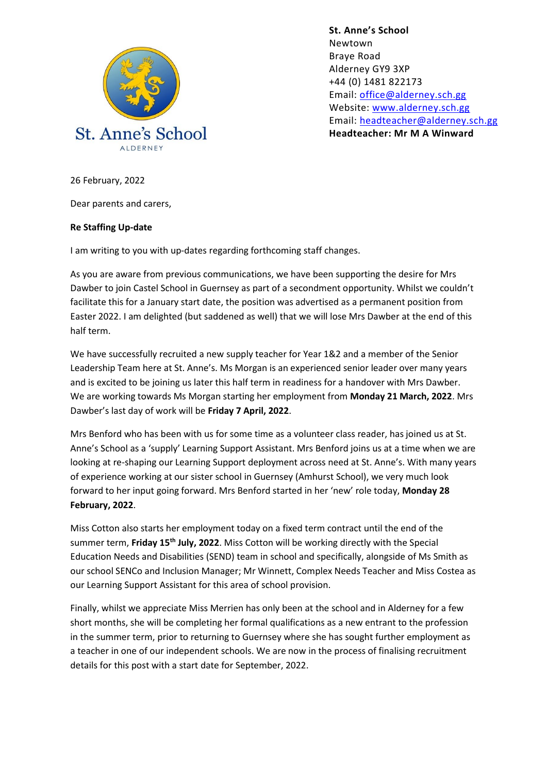

**St. Anne's School**  Newtown Braye Road Alderney GY9 3XP +44 (0) 1481 822173 Email: [office@alderney.sch.gg](mailto:office@alderney.sch.gg) Website: [www.alderney.sch.gg](http://www.alderney.sch.gg/) Email: [headteacher@alderney.sch.gg](mailto:headteacher@alderney.sch.gg) **Headteacher: Mr M A Winward**

26 February, 2022

Dear parents and carers,

## **Re Staffing Up-date**

I am writing to you with up-dates regarding forthcoming staff changes.

As you are aware from previous communications, we have been supporting the desire for Mrs Dawber to join Castel School in Guernsey as part of a secondment opportunity. Whilst we couldn't facilitate this for a January start date, the position was advertised as a permanent position from Easter 2022. I am delighted (but saddened as well) that we will lose Mrs Dawber at the end of this half term.

We have successfully recruited a new supply teacher for Year 1&2 and a member of the Senior Leadership Team here at St. Anne's. Ms Morgan is an experienced senior leader over many years and is excited to be joining us later this half term in readiness for a handover with Mrs Dawber. We are working towards Ms Morgan starting her employment from **Monday 21 March, 2022**. Mrs Dawber's last day of work will be **Friday 7 April, 2022**.

Mrs Benford who has been with us for some time as a volunteer class reader, has joined us at St. Anne's School as a 'supply' Learning Support Assistant. Mrs Benford joins us at a time when we are looking at re-shaping our Learning Support deployment across need at St. Anne's. With many years of experience working at our sister school in Guernsey (Amhurst School), we very much look forward to her input going forward. Mrs Benford started in her 'new' role today, **Monday 28 February, 2022**.

Miss Cotton also starts her employment today on a fixed term contract until the end of the summer term, **Friday 15th July, 2022**. Miss Cotton will be working directly with the Special Education Needs and Disabilities (SEND) team in school and specifically, alongside of Ms Smith as our school SENCo and Inclusion Manager; Mr Winnett, Complex Needs Teacher and Miss Costea as our Learning Support Assistant for this area of school provision.

Finally, whilst we appreciate Miss Merrien has only been at the school and in Alderney for a few short months, she will be completing her formal qualifications as a new entrant to the profession in the summer term, prior to returning to Guernsey where she has sought further employment as a teacher in one of our independent schools. We are now in the process of finalising recruitment details for this post with a start date for September, 2022.